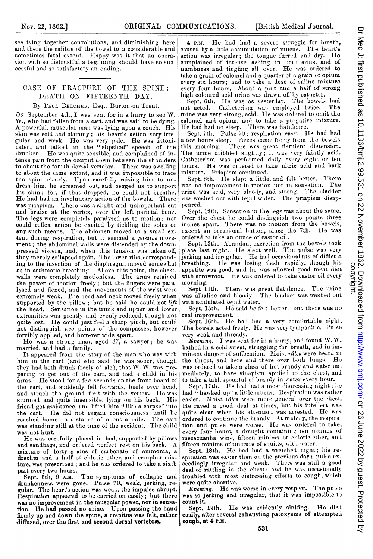see tying together convolutions, and diminishing here and there the calibre of the bowel to a considerable and sometimes fatal extent. Happy was it that an operation with so distrustful a beginning should have so successftul and so satisfactory an ending.

## CASE OF FRACTURE OF THE SPINE: DEATII ON FIFTEENTII DAY.

## By PAUL BELCHER, Esq., Burton-on-Trent.

On September 4th, I was sent for in a hurry to see W. W., who had fallen from a cart, and was said to be dying. A powerful, muscular man was lying upon a couch. His skin was cold and clammy; his heart's action very irregular and weak. He was very pale. He was intoxicated, and talked in the "slipshod" speech of the drunken. He was quite sensible, and complained of intense pain from the occiput down between the shoulders to about the fourth dorsal vertebra. There was swelling to about the same extent, and it was impossible to trace the spine clearly. Upon carefully raising him to undress himn, he screamed out, and begged us to support his chin; for, if that dropped, he could not breathe. He had had an involuntary action of the bowels. There was priapism. There was a slight and unimportant cut and bruise at the vertex, over the left parietal bone. The legs were completely paralysed as to motion; nor could reflex action be excited by tickling the soles or any such means. The abdomen moved to a small extent during respiration, but it seemed a *passive* movement; the abdominal walls were distended by the downpressed viscera, and, when this tension was taken off; they merely collapsed again. The lower ribs, corresponiding to the insertion of the diaphragm, moved somewhat as in asthmatic breathing. Above this point, the chestwalls were completely motionless. The arms retained the power of motion freely; but the fingers were paralysed and flexed, and the movements of the wrist were extremely weak. The head and neck moved freely when supported by the pillow; but he said he could not  $lift$ the head. Sensation in the trunk and upper and lower extremities was greatly and evenly reduced, though not quite lost. He could just feel a sharp pinch, but could not distinguish tivo points of the conupasses, however forcibly applied, and however wide apart.

He was <sup>a</sup> strong man, aged 37, <sup>a</sup> sawyer; he was married, and had a family.

It appeared from the story of the man who was with him in the cart (and who said he was sober, though they had both drunk freely of ale), that W. W. was preparing to get out of the cart, and had a child in his arms. He stood for a few seconds on the front board of the cart, and suddenly fell forwards. heels over head, and struck the ground first with the vertex. He was stunned and quite insensible, lying on his back. His<br>friend got assistance, and lifted him "like a corpse" into the cart. He did not regain consciousness until he<br>reached home—a distance of about a mile. The cart was standing still at the time of the accident. The child was not hurt.

He was carefully placed in bed, supported by pillows and sandbags, and orlered perfect rest on his back. A mixture of forty grains of carbonate of ammonia, a<br>drachm and a half of chloric ether, and camphor mixture, was prescribed; and he was ordered to take a sixth part every two hours.

Sept. 5th, <sup>9</sup> A.M. The symptoms of collapse and drunkenness were gone. Pulse 70, weak, jerking, regular. The heart's action was weak, the impulse abrupt. Respiration appeared to be carriedl on easily; but there was no improvement in the muscular power, nor in sensation. He had passed no urine. Upon passing the hand firmly up and down the spine, a crepitus was felt, rather diffused, over the first and second dorsal vertebræ.

4 p.m. He had had a severe struggle for breath, caused by a little accumulation of mucus. The heart's action was irregular; the tongue furred and dry. He complained of intense aching in both arms, and of numbness and tingling all over. He was ordered to take a grain of calomel and a quarter of a grain of opium every six hours; and to take a dose of saline mixture every four hours. About a pint and a half of strong high coloured acid urine was drawn off by catheter.

Sept. 6th. He was as yesterday. The bowels had not acted. Catheterism was employed twice. The Catheterism was employed twice. urine was very strong, acid. He was ordered to omit the calomel and opium, and to take a purgative mixture.

He had had no sleep. There was flatulence.<br>Sept. 7th. Pulse 70; respiration easy. He had had a few hours sleep. Fwces came freely from the bowels<br>this morning. There was great flatulent distension. The urine dribbled slightly; it was very faintly acid.<br>Catheterism was performed daily every eight or ten hours. He was ordered to take nitric acid and bark mixture. Priapism continued.

Sept. 8th. He slept a little, and felt better. There was no improvement in motion nor in sensation. The urine was acid, very bloody, and strong. The bladder<br>was washed out with tepid water. The priapism disappeared.

Sept. 12th. Sensation in the legs was about the same. Over the chest he could distinguish two points three inches apart. There was no motion from the bowels, except an occasional button, since the 7th. He was ordered to teke an otunce of castor oil.

Sept. 13th. Abundant excretion from the bowels took place last night. He slept well. The pulse was very jerking and irregular. He had occasional fits of difficult breathing. He was losing flesh rapidly, though his appetite was good, and he was allowed good meat diet with arrowroot. He was ordered to take castor oil every morning.

Sept 14th. There was great flatulence. The urine was alkaline and bloody. The bladder was washed out with acidulated tepid water.

Sept. 15th. He said lie felt better; but there was no real improvement.

Sept. 16th. He had had a very comfortable night. The bowels acted freely. He was very tympanitic. Pulse very weak and thready.

*Evening.* I was sent for in a hurry, and found W.W. bathed in a cold sweat, struggling for breath, and in imminent danger of suffocation. Moist râles were heard in the throat, and here and there over both lungs. He was ordered to take a glass of hot brandy and water immediately, to have sinapism applied to the chest, and to take a tablespoonful of brandy in water every hour.

Sept. 17th. He had had a most distressing night; he had  $\ddot{u}$  hawked up" a little mucus. Respiration was rather easier. Moist râles were more general over the chest. He raved a good deal at times, but his intellect was quite clear when his attention was ariested. He was ordered to continue the brandy. At midday, the respiration and pulse were worse. He was ordered to take,<br>every four hours, a draught containing ten minims of ipecacuanha wine, fifteen minims of chloric ether, and fifteen minims of tincture of squills, with water.

Sept. 18th. He had had a wretclhed right; his respiration was easier than on the previous day; pulse exceedingly irregullar and weak. Thcre was still a good deal of rattling in the chest; and he was occasionally troubled with most distressing efforts to cough, which were quite abortive.

Evening. He was worse in every respect. The pul-o was so jerking and irregular, that it was impossible to count it.

Sept. 19th. He was evidently sinking. He died easily, after several exhausting pa:oxysms of atternpted cough, at 4 r.x.